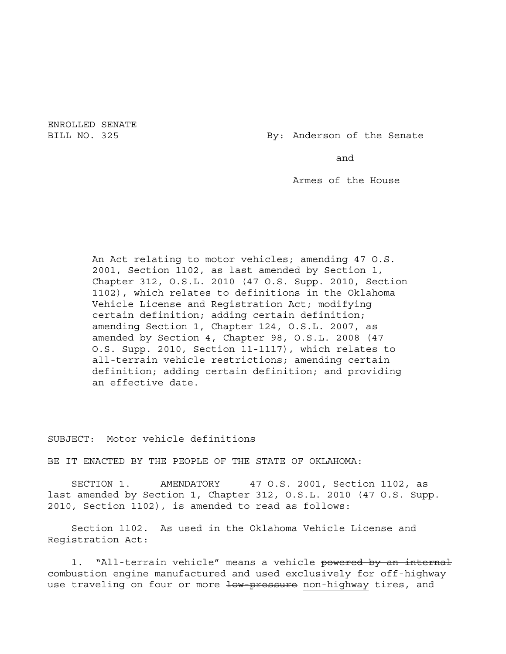ENROLLED SENATE

BILL NO. 325 By: Anderson of the Senate

and

Armes of the House

An Act relating to motor vehicles; amending 47 O.S. 2001, Section 1102, as last amended by Section 1, Chapter 312, O.S.L. 2010 (47 O.S. Supp. 2010, Section 1102), which relates to definitions in the Oklahoma Vehicle License and Registration Act; modifying certain definition; adding certain definition; amending Section 1, Chapter 124, O.S.L. 2007, as amended by Section 4, Chapter 98, O.S.L. 2008 (47 O.S. Supp. 2010, Section 11-1117), which relates to all-terrain vehicle restrictions; amending certain definition; adding certain definition; and providing an effective date.

SUBJECT: Motor vehicle definitions

BE IT ENACTED BY THE PEOPLE OF THE STATE OF OKLAHOMA:

SECTION 1. AMENDATORY 47 O.S. 2001, Section 1102, as last amended by Section 1, Chapter 312, O.S.L. 2010 (47 O.S. Supp. 2010, Section 1102), is amended to read as follows:

Section 1102. As used in the Oklahoma Vehicle License and Registration Act:

1. "All-terrain vehicle" means a vehicle powered by an internal combustion engine manufactured and used exclusively for off-highway use traveling on four or more low pressure non-highway tires, and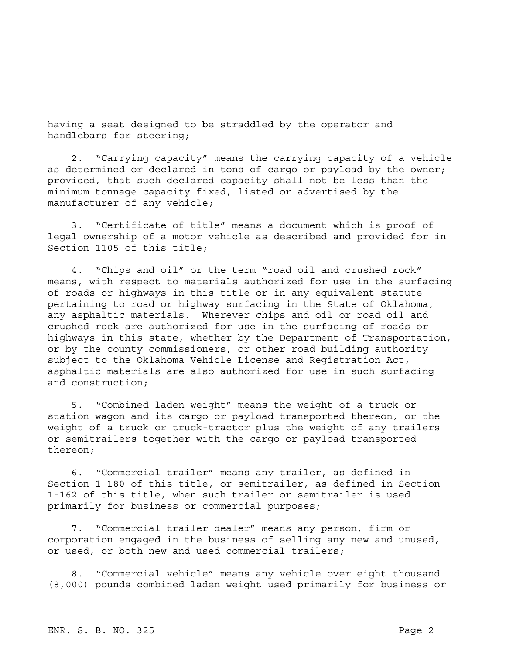having a seat designed to be straddled by the operator and handlebars for steering;

2. "Carrying capacity" means the carrying capacity of a vehicle as determined or declared in tons of cargo or payload by the owner; provided, that such declared capacity shall not be less than the minimum tonnage capacity fixed, listed or advertised by the manufacturer of any vehicle;

3. "Certificate of title" means a document which is proof of legal ownership of a motor vehicle as described and provided for in Section 1105 of this title;

4. "Chips and oil" or the term "road oil and crushed rock" means, with respect to materials authorized for use in the surfacing of roads or highways in this title or in any equivalent statute pertaining to road or highway surfacing in the State of Oklahoma, any asphaltic materials. Wherever chips and oil or road oil and crushed rock are authorized for use in the surfacing of roads or highways in this state, whether by the Department of Transportation, or by the county commissioners, or other road building authority subject to the Oklahoma Vehicle License and Registration Act, asphaltic materials are also authorized for use in such surfacing and construction;

5. "Combined laden weight" means the weight of a truck or station wagon and its cargo or payload transported thereon, or the weight of a truck or truck-tractor plus the weight of any trailers or semitrailers together with the cargo or payload transported thereon;

6. "Commercial trailer" means any trailer, as defined in Section 1-180 of this title, or semitrailer, as defined in Section 1-162 of this title, when such trailer or semitrailer is used primarily for business or commercial purposes;

7. "Commercial trailer dealer" means any person, firm or corporation engaged in the business of selling any new and unused, or used, or both new and used commercial trailers;

8. "Commercial vehicle" means any vehicle over eight thousand (8,000) pounds combined laden weight used primarily for business or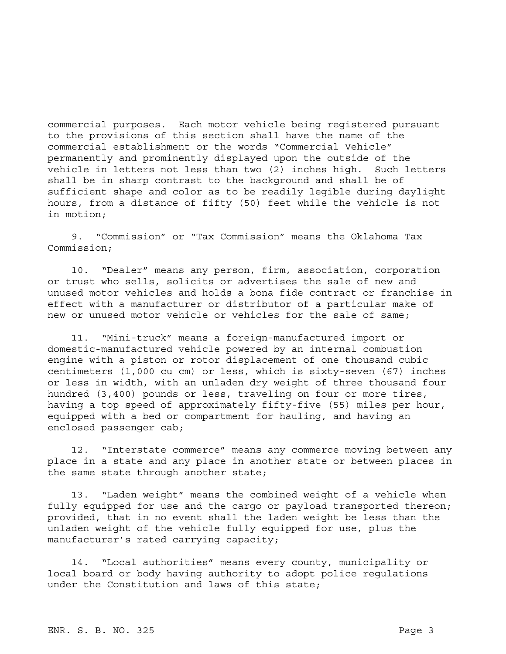commercial purposes. Each motor vehicle being registered pursuant to the provisions of this section shall have the name of the commercial establishment or the words "Commercial Vehicle" permanently and prominently displayed upon the outside of the vehicle in letters not less than two (2) inches high. Such letters shall be in sharp contrast to the background and shall be of sufficient shape and color as to be readily legible during daylight hours, from a distance of fifty (50) feet while the vehicle is not in motion;

9. "Commission" or "Tax Commission" means the Oklahoma Tax Commission;

10. "Dealer" means any person, firm, association, corporation or trust who sells, solicits or advertises the sale of new and unused motor vehicles and holds a bona fide contract or franchise in effect with a manufacturer or distributor of a particular make of new or unused motor vehicle or vehicles for the sale of same;

11. "Mini-truck" means a foreign-manufactured import or domestic-manufactured vehicle powered by an internal combustion engine with a piston or rotor displacement of one thousand cubic centimeters (1,000 cu cm) or less, which is sixty-seven (67) inches or less in width, with an unladen dry weight of three thousand four hundred (3,400) pounds or less, traveling on four or more tires, having a top speed of approximately fifty-five (55) miles per hour, equipped with a bed or compartment for hauling, and having an enclosed passenger cab;

12. "Interstate commerce" means any commerce moving between any place in a state and any place in another state or between places in the same state through another state;

13. "Laden weight" means the combined weight of a vehicle when fully equipped for use and the cargo or payload transported thereon; provided, that in no event shall the laden weight be less than the unladen weight of the vehicle fully equipped for use, plus the manufacturer's rated carrying capacity;

14. "Local authorities" means every county, municipality or local board or body having authority to adopt police regulations under the Constitution and laws of this state;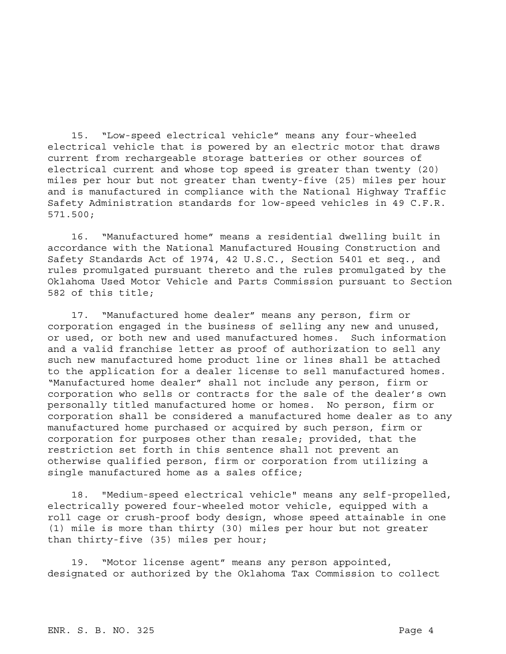15. "Low-speed electrical vehicle" means any four-wheeled electrical vehicle that is powered by an electric motor that draws current from rechargeable storage batteries or other sources of electrical current and whose top speed is greater than twenty (20) miles per hour but not greater than twenty-five (25) miles per hour and is manufactured in compliance with the National Highway Traffic Safety Administration standards for low-speed vehicles in 49 C.F.R. 571.500;

16. "Manufactured home" means a residential dwelling built in accordance with the National Manufactured Housing Construction and Safety Standards Act of 1974, 42 U.S.C., Section 5401 et seq., and rules promulgated pursuant thereto and the rules promulgated by the Oklahoma Used Motor Vehicle and Parts Commission pursuant to Section 582 of this title;

17. "Manufactured home dealer" means any person, firm or corporation engaged in the business of selling any new and unused, or used, or both new and used manufactured homes. Such information and a valid franchise letter as proof of authorization to sell any such new manufactured home product line or lines shall be attached to the application for a dealer license to sell manufactured homes. "Manufactured home dealer" shall not include any person, firm or corporation who sells or contracts for the sale of the dealer's own personally titled manufactured home or homes. No person, firm or corporation shall be considered a manufactured home dealer as to any manufactured home purchased or acquired by such person, firm or corporation for purposes other than resale; provided, that the restriction set forth in this sentence shall not prevent an otherwise qualified person, firm or corporation from utilizing a single manufactured home as a sales office;

18. "Medium-speed electrical vehicle" means any self-propelled, electrically powered four-wheeled motor vehicle, equipped with a roll cage or crush-proof body design, whose speed attainable in one (1) mile is more than thirty (30) miles per hour but not greater than thirty-five (35) miles per hour;

19. "Motor license agent" means any person appointed, designated or authorized by the Oklahoma Tax Commission to collect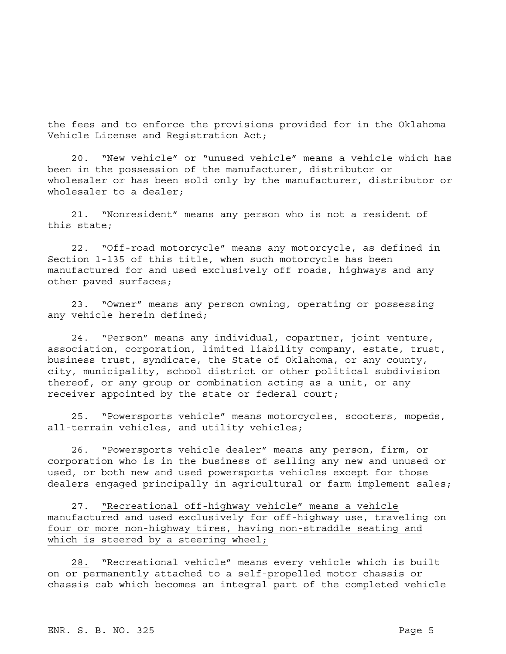the fees and to enforce the provisions provided for in the Oklahoma Vehicle License and Registration Act;

20. "New vehicle" or "unused vehicle" means a vehicle which has been in the possession of the manufacturer, distributor or wholesaler or has been sold only by the manufacturer, distributor or wholesaler to a dealer;

21. "Nonresident" means any person who is not a resident of this state;

22. "Off-road motorcycle" means any motorcycle, as defined in Section 1-135 of this title, when such motorcycle has been manufactured for and used exclusively off roads, highways and any other paved surfaces;

23. "Owner" means any person owning, operating or possessing any vehicle herein defined;

24. "Person" means any individual, copartner, joint venture, association, corporation, limited liability company, estate, trust, business trust, syndicate, the State of Oklahoma, or any county, city, municipality, school district or other political subdivision thereof, or any group or combination acting as a unit, or any receiver appointed by the state or federal court;

25. "Powersports vehicle" means motorcycles, scooters, mopeds, all-terrain vehicles, and utility vehicles;

26. "Powersports vehicle dealer" means any person, firm, or corporation who is in the business of selling any new and unused or used, or both new and used powersports vehicles except for those dealers engaged principally in agricultural or farm implement sales;

27. "Recreational off-highway vehicle" means a vehicle manufactured and used exclusively for off-highway use, traveling on four or more non-highway tires, having non-straddle seating and which is steered by a steering wheel;

28. "Recreational vehicle" means every vehicle which is built on or permanently attached to a self-propelled motor chassis or chassis cab which becomes an integral part of the completed vehicle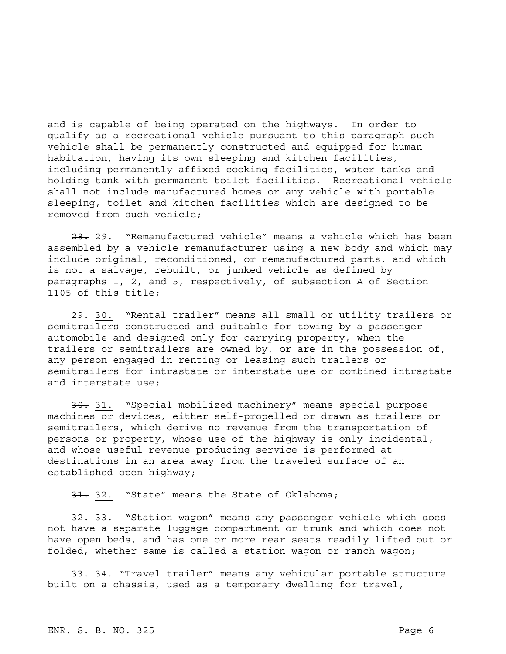and is capable of being operated on the highways. In order to qualify as a recreational vehicle pursuant to this paragraph such vehicle shall be permanently constructed and equipped for human habitation, having its own sleeping and kitchen facilities, including permanently affixed cooking facilities, water tanks and holding tank with permanent toilet facilities. Recreational vehicle shall not include manufactured homes or any vehicle with portable sleeping, toilet and kitchen facilities which are designed to be removed from such vehicle;

28. 29. "Remanufactured vehicle" means a vehicle which has been assembled by a vehicle remanufacturer using a new body and which may include original, reconditioned, or remanufactured parts, and which is not a salvage, rebuilt, or junked vehicle as defined by paragraphs 1, 2, and 5, respectively, of subsection A of Section 1105 of this title;

29. 30. "Rental trailer" means all small or utility trailers or semitrailers constructed and suitable for towing by a passenger automobile and designed only for carrying property, when the trailers or semitrailers are owned by, or are in the possession of, any person engaged in renting or leasing such trailers or semitrailers for intrastate or interstate use or combined intrastate and interstate use;

30. 31. "Special mobilized machinery" means special purpose machines or devices, either self-propelled or drawn as trailers or semitrailers, which derive no revenue from the transportation of persons or property, whose use of the highway is only incidental, and whose useful revenue producing service is performed at destinations in an area away from the traveled surface of an established open highway;

31. 32. "State" means the State of Oklahoma;

32. 33. "Station wagon" means any passenger vehicle which does not have a separate luggage compartment or trunk and which does not have open beds, and has one or more rear seats readily lifted out or folded, whether same is called a station wagon or ranch wagon;

33. 34. "Travel trailer" means any vehicular portable structure built on a chassis, used as a temporary dwelling for travel,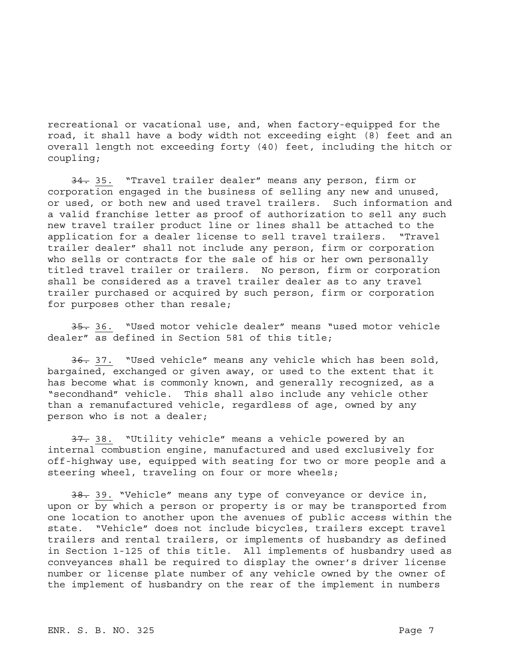recreational or vacational use, and, when factory-equipped for the road, it shall have a body width not exceeding eight (8) feet and an overall length not exceeding forty (40) feet, including the hitch or coupling;

34. 35. "Travel trailer dealer" means any person, firm or corporation engaged in the business of selling any new and unused, or used, or both new and used travel trailers. Such information and a valid franchise letter as proof of authorization to sell any such new travel trailer product line or lines shall be attached to the application for a dealer license to sell travel trailers. "Travel trailer dealer" shall not include any person, firm or corporation who sells or contracts for the sale of his or her own personally titled travel trailer or trailers. No person, firm or corporation shall be considered as a travel trailer dealer as to any travel trailer purchased or acquired by such person, firm or corporation for purposes other than resale;

35. 36. "Used motor vehicle dealer" means "used motor vehicle dealer" as defined in Section 581 of this title;

36. 37. "Used vehicle" means any vehicle which has been sold, bargained, exchanged or given away, or used to the extent that it has become what is commonly known, and generally recognized, as a "secondhand" vehicle. This shall also include any vehicle other than a remanufactured vehicle, regardless of age, owned by any person who is not a dealer;

37. 38. "Utility vehicle" means a vehicle powered by an internal combustion engine, manufactured and used exclusively for off-highway use, equipped with seating for two or more people and a steering wheel, traveling on four or more wheels;

38. 39. "Vehicle" means any type of conveyance or device in, upon or by which a person or property is or may be transported from one location to another upon the avenues of public access within the state. "Vehicle" does not include bicycles, trailers except travel trailers and rental trailers, or implements of husbandry as defined in Section 1-125 of this title. All implements of husbandry used as conveyances shall be required to display the owner's driver license number or license plate number of any vehicle owned by the owner of the implement of husbandry on the rear of the implement in numbers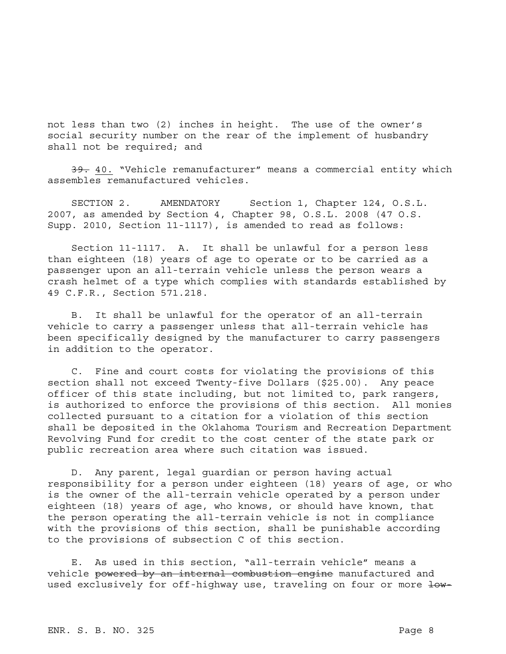not less than two (2) inches in height. The use of the owner's social security number on the rear of the implement of husbandry shall not be required; and

39. 40. "Vehicle remanufacturer" means a commercial entity which assembles remanufactured vehicles.

SECTION 2. AMENDATORY Section 1, Chapter 124, O.S.L. 2007, as amended by Section 4, Chapter 98, O.S.L. 2008 (47 O.S. Supp. 2010, Section 11-1117), is amended to read as follows:

Section 11-1117. A. It shall be unlawful for a person less than eighteen (18) years of age to operate or to be carried as a passenger upon an all-terrain vehicle unless the person wears a crash helmet of a type which complies with standards established by 49 C.F.R., Section 571.218.

B. It shall be unlawful for the operator of an all-terrain vehicle to carry a passenger unless that all-terrain vehicle has been specifically designed by the manufacturer to carry passengers in addition to the operator.

C. Fine and court costs for violating the provisions of this section shall not exceed Twenty-five Dollars (\$25.00). Any peace officer of this state including, but not limited to, park rangers, is authorized to enforce the provisions of this section. All monies collected pursuant to a citation for a violation of this section shall be deposited in the Oklahoma Tourism and Recreation Department Revolving Fund for credit to the cost center of the state park or public recreation area where such citation was issued.

D. Any parent, legal guardian or person having actual responsibility for a person under eighteen (18) years of age, or who is the owner of the all-terrain vehicle operated by a person under eighteen (18) years of age, who knows, or should have known, that the person operating the all-terrain vehicle is not in compliance with the provisions of this section, shall be punishable according to the provisions of subsection C of this section.

E. As used in this section, "all-terrain vehicle" means a vehicle powered by an internal combustion engine manufactured and used exclusively for off-highway use, traveling on four or more low